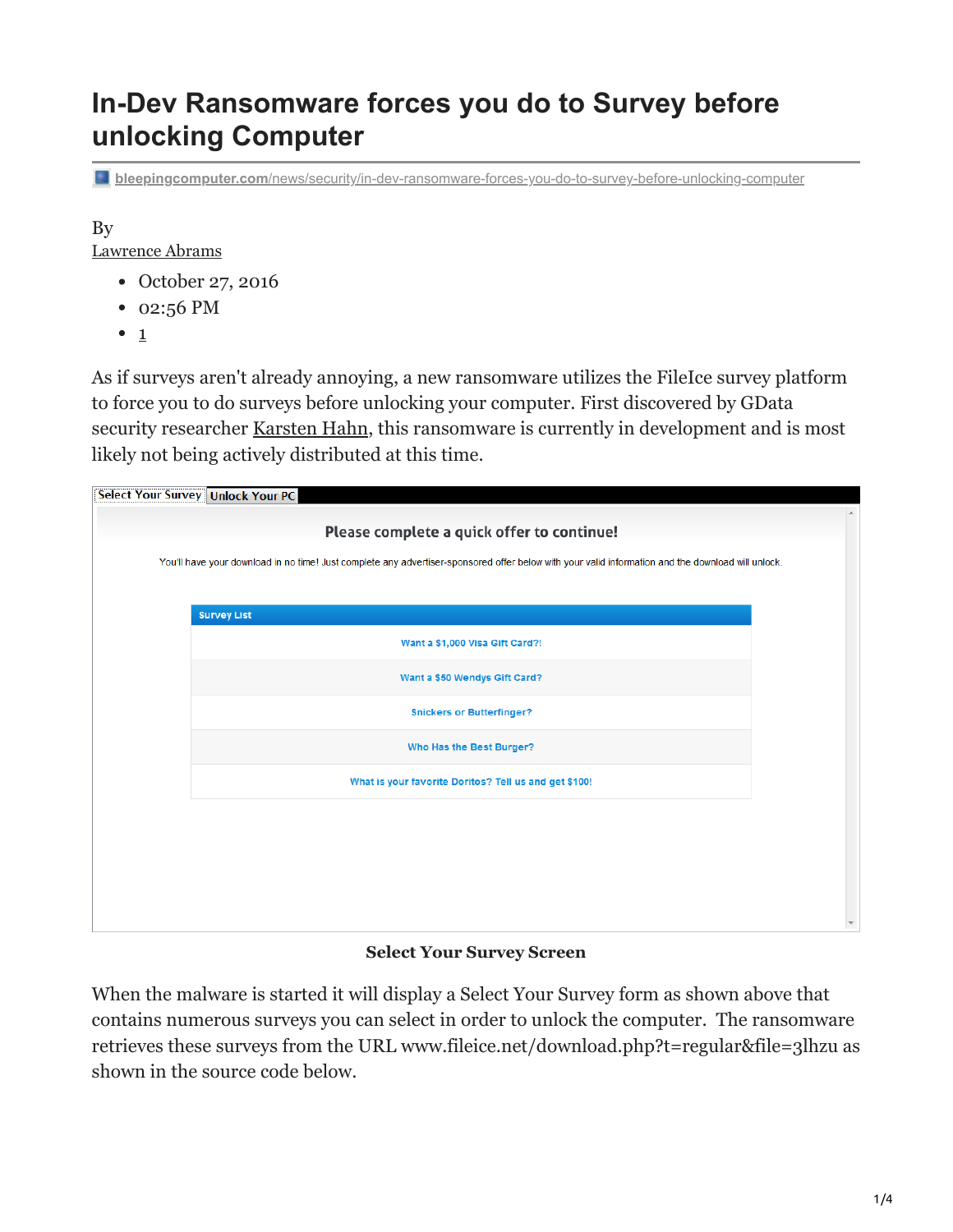# **In-Dev Ransomware forces you do to Survey before unlocking Computer**

**bleepingcomputer.com**[/news/security/in-dev-ransomware-forces-you-do-to-survey-before-unlocking-computer](https://www.bleepingcomputer.com/news/security/in-dev-ransomware-forces-you-do-to-survey-before-unlocking-computer/)

By [Lawrence Abrams](https://www.bleepingcomputer.com/author/lawrence-abrams/)

- October 27, 2016
- 02:56 PM
- $\bullet$  1

As if surveys aren't already annoying, a new ransomware utilizes the FileIce survey platform to force you to do surveys before unlocking your computer. First discovered by GData security researcher [Karsten Hahn,](https://twitter.com/struppigel) this ransomware is currently in development and is most likely not being actively distributed at this time.

| Please complete a quick offer to continue!<br>You'll have your download in no time! Just complete any advertiser-sponsored offer below with your valid information and the download will unlock. |  |  |  |  |  |  |
|--------------------------------------------------------------------------------------------------------------------------------------------------------------------------------------------------|--|--|--|--|--|--|
|                                                                                                                                                                                                  |  |  |  |  |  |  |
| <b>Survey List</b>                                                                                                                                                                               |  |  |  |  |  |  |
| Want a \$1,000 Visa Gift Card?!                                                                                                                                                                  |  |  |  |  |  |  |
| Want a \$50 Wendys Gift Card?                                                                                                                                                                    |  |  |  |  |  |  |
| <b>Snickers or Butterfinger?</b>                                                                                                                                                                 |  |  |  |  |  |  |
| Who Has the Best Burger?                                                                                                                                                                         |  |  |  |  |  |  |
| What is your favorite Doritos? Tell us and get \$100!                                                                                                                                            |  |  |  |  |  |  |
|                                                                                                                                                                                                  |  |  |  |  |  |  |
|                                                                                                                                                                                                  |  |  |  |  |  |  |
|                                                                                                                                                                                                  |  |  |  |  |  |  |
|                                                                                                                                                                                                  |  |  |  |  |  |  |

**Select Your Survey Screen**

When the malware is started it will display a Select Your Survey form as shown above that contains numerous surveys you can select in order to unlock the computer. The ransomware retrieves these surveys from the URL www.fileice.net/download.php?t=regular&file=3lhzu as shown in the source code below.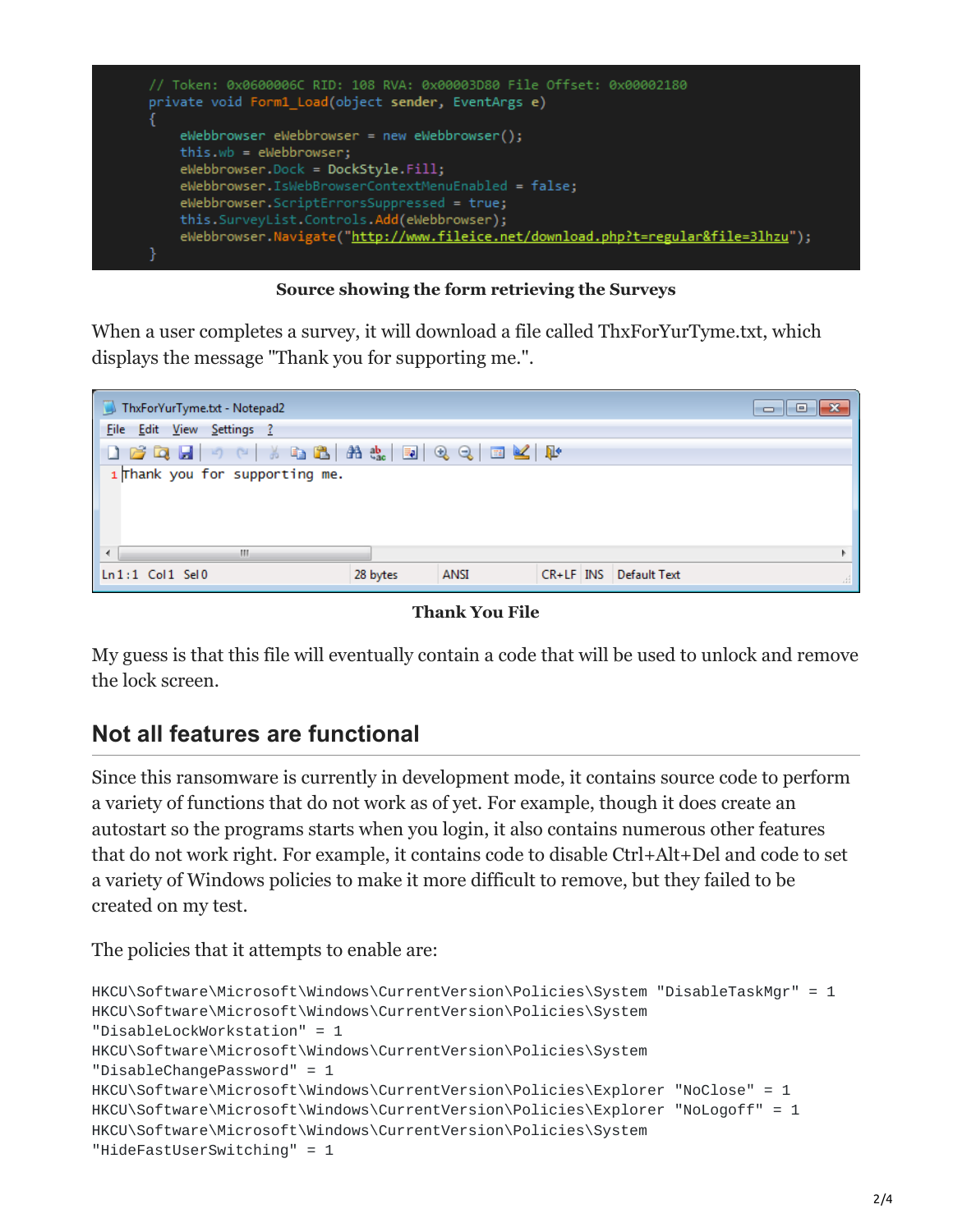

#### **Source showing the form retrieving the Surveys**

When a user completes a survey, it will download a file called ThxForYurTyme.txt, which displays the message "Thank you for supporting me.".

| ThxForYurTyme.txt - Notepad2        |          |      |  |                        |  |  |  |  |  |  |
|-------------------------------------|----------|------|--|------------------------|--|--|--|--|--|--|
| Edit View Settings ?<br><b>File</b> |          |      |  |                        |  |  |  |  |  |  |
|                                     |          |      |  |                        |  |  |  |  |  |  |
| 1 Thank you for supporting me.      |          |      |  |                        |  |  |  |  |  |  |
| m.                                  |          |      |  | Þ.                     |  |  |  |  |  |  |
| $\ln 1:1$ Col $1$ Sel $0$           | 28 bytes | ANSI |  | CR+LF INS Default Text |  |  |  |  |  |  |

**Thank You File**

My guess is that this file will eventually contain a code that will be used to unlock and remove the lock screen.

# **Not all features are functional**

Since this ransomware is currently in development mode, it contains source code to perform a variety of functions that do not work as of yet. For example, though it does create an autostart so the programs starts when you login, it also contains numerous other features that do not work right. For example, it contains code to disable Ctrl+Alt+Del and code to set a variety of Windows policies to make it more difficult to remove, but they failed to be created on my test.

The policies that it attempts to enable are:

```
HKCU\Software\Microsoft\Windows\CurrentVersion\Policies\System "DisableTaskMgr" = 1
HKCU\Software\Microsoft\Windows\CurrentVersion\Policies\System
"DisableLockWorkstation" = 1
HKCU\Software\Microsoft\Windows\CurrentVersion\Policies\System
"DisableChangePassword" = 1
HKCU\Software\Microsoft\Windows\CurrentVersion\Policies\Explorer "NoClose" = 1
HKCU\Software\Microsoft\Windows\CurrentVersion\Policies\Explorer "NoLogoff" = 1
HKCU\Software\Microsoft\Windows\CurrentVersion\Policies\System
"HideFastUserSwitching" = 1
```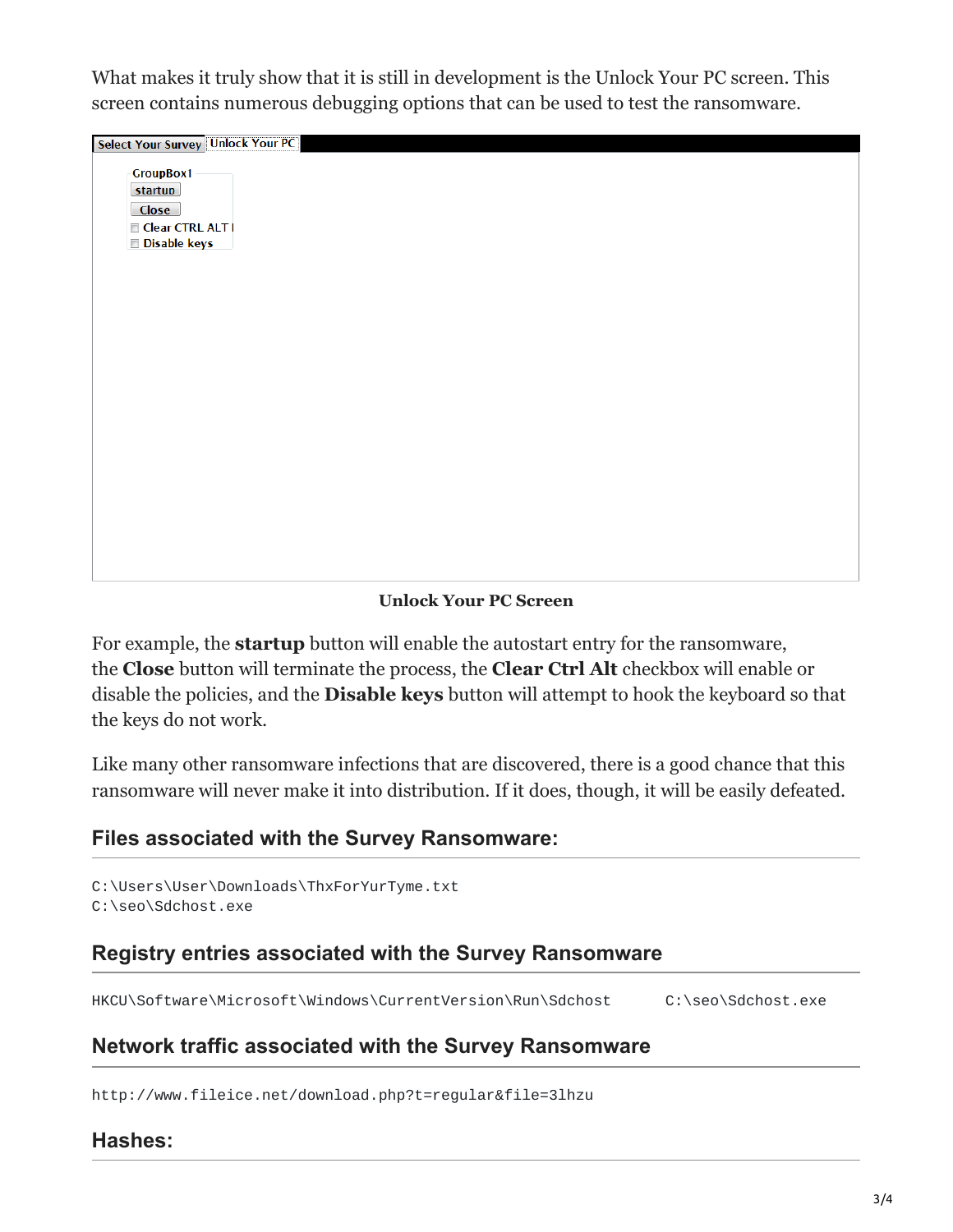What makes it truly show that it is still in development is the Unlock Your PC screen. This screen contains numerous debugging options that can be used to test the ransomware.

| Select Your Survey Unlock Your PC                                               |  |  |
|---------------------------------------------------------------------------------|--|--|
| <b>GroupBox1</b><br>startup<br><b>Close</b><br>Clear CTRL ALT I<br>Disable keys |  |  |
|                                                                                 |  |  |
|                                                                                 |  |  |
|                                                                                 |  |  |

**Unlock Your PC Screen**

For example, the **startup** button will enable the autostart entry for the ransomware, the **Close** button will terminate the process, the **Clear Ctrl Alt** checkbox will enable or disable the policies, and the **Disable keys** button will attempt to hook the keyboard so that the keys do not work.

Like many other ransomware infections that are discovered, there is a good chance that this ransomware will never make it into distribution. If it does, though, it will be easily defeated.

## **Files associated with the Survey Ransomware:**

C:\Users\User\Downloads\ThxForYurTyme.txt C:\seo\Sdchost.exe

### **Registry entries associated with the Survey Ransomware**

HKCU\Software\Microsoft\Windows\CurrentVersion\Run\Sdchost C:\seo\Sdchost.exe

### **Network traffic associated with the Survey Ransomware**

http://www.fileice.net/download.php?t=regular&file=3lhzu

#### **Hashes:**